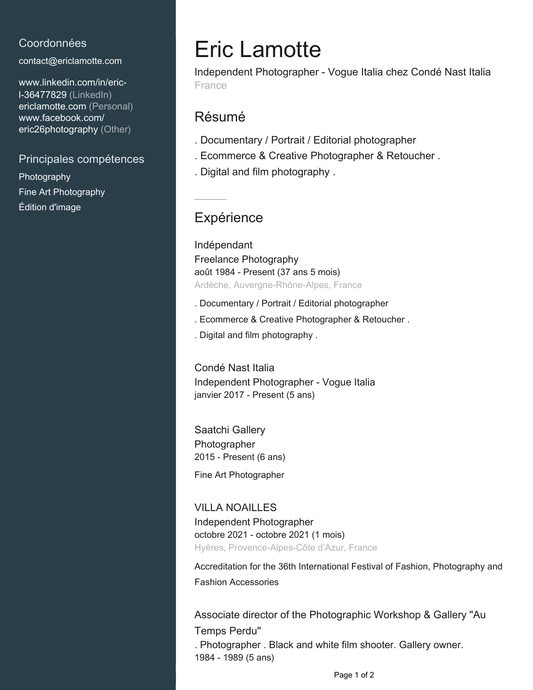### Coordonnées

[contact@ericlamotte.com](mailto:contact@ericlamotte.com)

[www.linkedin.com/in/eric](https://www.linkedin.com/in/eric-l-36477829?jobid=1234&lipi=urn%3Ali%3Apage%3Ad_jobs_easyapply_pdfgenresume%3BsrzBzohuQ8mnCBpjZQzjIA%3D%3D&licu=urn%3Ali%3Acontrol%3Ad_jobs_easyapply_pdfgenresume-v02_profile)[l-36477829 \(LinkedIn\)](https://www.linkedin.com/in/eric-l-36477829?jobid=1234&lipi=urn%3Ali%3Apage%3Ad_jobs_easyapply_pdfgenresume%3BsrzBzohuQ8mnCBpjZQzjIA%3D%3D&licu=urn%3Ali%3Acontrol%3Ad_jobs_easyapply_pdfgenresume-v02_profile) [ericlamotte.com \(Personal\)](www.ericlamotte.com) [www.facebook.com/](https://www.facebook.com/eric26photography) [eric26photography \(Other\)](https://www.facebook.com/eric26photography)

#### Principales compétences

Photography Fine Art Photography Édition d'image

# Eric Lamotte

Independent Photographer - Vogue Italia chez Condé Nast Italia France

# Résumé

- . Documentary / Portrait / Editorial photographer
- . Ecommerce & Creative Photographer & Retoucher .
- . Digital and film photography .

# **Expérience**

Indépendant Freelance Photography août 1984 - Present (37 ans 5 mois) Ardèche, Auvergne-Rhône-Alpes, France

- . Documentary / Portrait / Editorial photographer
- . Ecommerce & Creative Photographer & Retoucher .
- . Digital and film photography .

Condé Nast Italia Independent Photographer - Vogue Italia janvier 2017 - Present (5 ans)

Saatchi Gallery Photographer 2015 - Present (6 ans)

Fine Art Photographer

#### VILLA NOAILLES

Independent Photographer octobre 2021 - octobre 2021 (1 mois) Hyères, Provence-Alpes-Côte d'Azur, France

Accreditation for the 36th International Festival of Fashion, Photography and Fashion Accessories

Associate director of the Photographic Workshop & Gallery "Au Temps Perdu" . Photographer . Black and white film shooter. Gallery owner. 1984 - 1989 (5 ans)